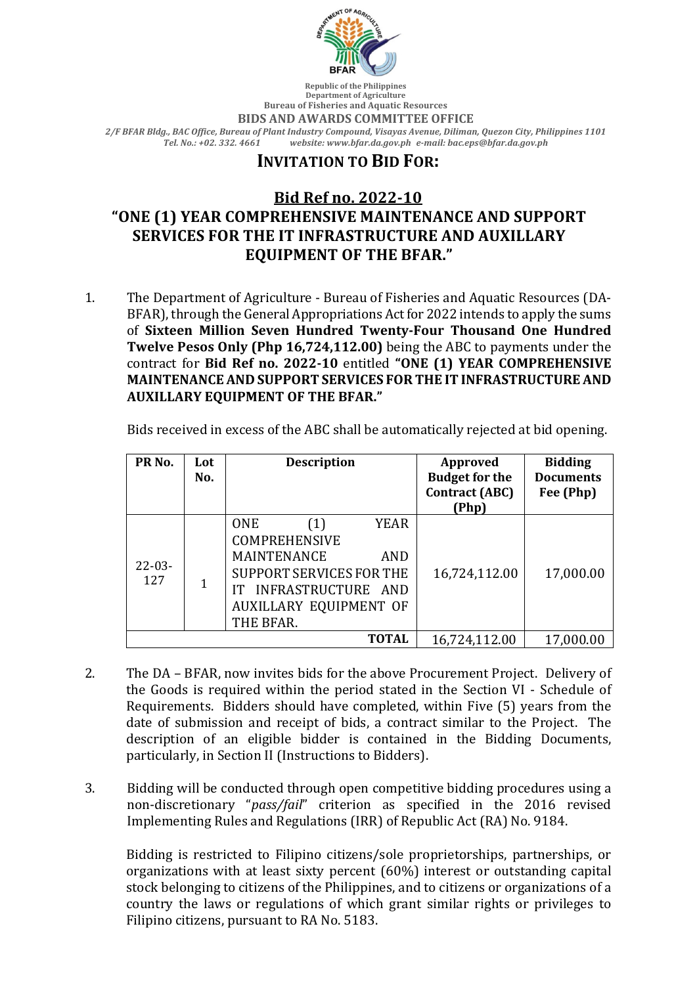

**Department of Agriculture Bureau of Fisheries and Aquatic Resources BIDS AND AWARDS COMMITTEE OFFICE** *2/F BFAR Bldg., BAC Office, Bureau of Plant Industry Compound, Visayas Avenue, Diliman, Quezon City, Philippines 1101 Tel. No.: +02. 332. 4661 website: www.bfar.da.gov.ph e-mail: bac.eps@bfar.da.gov.ph*

## **INVITATION TO BID FOR:**

## **Bid Ref no. 2022-10** "ONE (1) YEAR COMPREHENSIVE MAINTENANCE AND SUPPORT **SERVICES FOR THE IT INFRASTRUCTURE AND AUXILLARY EQUIPMENT OF THE BFAR."**

1. The Department of Agriculture - Bureau of Fisheries and Aquatic Resources (DA-BFAR), through the General Appropriations Act for 2022 intends to apply the sums of Sixteen Million Seven Hundred Twenty-Four Thousand One Hundred **Twelve Pesos Only (Php 16,724,112.00)** being the ABC to payments under the contract for Bid Ref no. 2022-10 entitled "ONE (1) YEAR COMPREHENSIVE **MAINTENANCE AND SUPPORT SERVICES FOR THE IT INFRASTRUCTURE AND AUXILLARY EQUIPMENT OF THE BFAR."** 

Bids received in excess of the ABC shall be automatically rejected at bid opening.

| PR <sub>No.</sub>  | Lot<br>No. | <b>Description</b>                                                                                                                                                                           | Approved<br><b>Budget for the</b><br><b>Contract (ABC)</b> | <b>Bidding</b><br><b>Documents</b><br>Fee (Php) |
|--------------------|------------|----------------------------------------------------------------------------------------------------------------------------------------------------------------------------------------------|------------------------------------------------------------|-------------------------------------------------|
|                    |            |                                                                                                                                                                                              | (Php)                                                      |                                                 |
| $22 - 03 -$<br>127 |            | <b>ONE</b><br><b>YEAR</b><br>(1)<br><b>COMPREHENSIVE</b><br><b>MAINTENANCE</b><br><b>AND</b><br>SUPPORT SERVICES FOR THE<br>INFRASTRUCTURE AND<br><b>AUXILLARY EQUIPMENT OF</b><br>THE BFAR. | 16,724,112.00                                              | 17,000.00                                       |
| <b>TOTAL</b>       |            |                                                                                                                                                                                              | 16,724,112.00                                              | 17,000.00                                       |

- 2. The DA BFAR, now invites bids for the above Procurement Project. Delivery of the Goods is required within the period stated in the Section VI - Schedule of Requirements. Bidders should have completed, within Five (5) years from the date of submission and receipt of bids, a contract similar to the Project. The description of an eligible bidder is contained in the Bidding Documents, particularly, in Section II (Instructions to Bidders).
- 3. Bidding will be conducted through open competitive bidding procedures using a non-discretionary "pass/fail" criterion as specified in the 2016 revised Implementing Rules and Regulations (IRR) of Republic Act (RA) No. 9184.

Bidding is restricted to Filipino citizens/sole proprietorships, partnerships, or organizations with at least sixty percent (60%) interest or outstanding capital stock belonging to citizens of the Philippines, and to citizens or organizations of a country the laws or regulations of which grant similar rights or privileges to Filipino citizens, pursuant to RA No. 5183.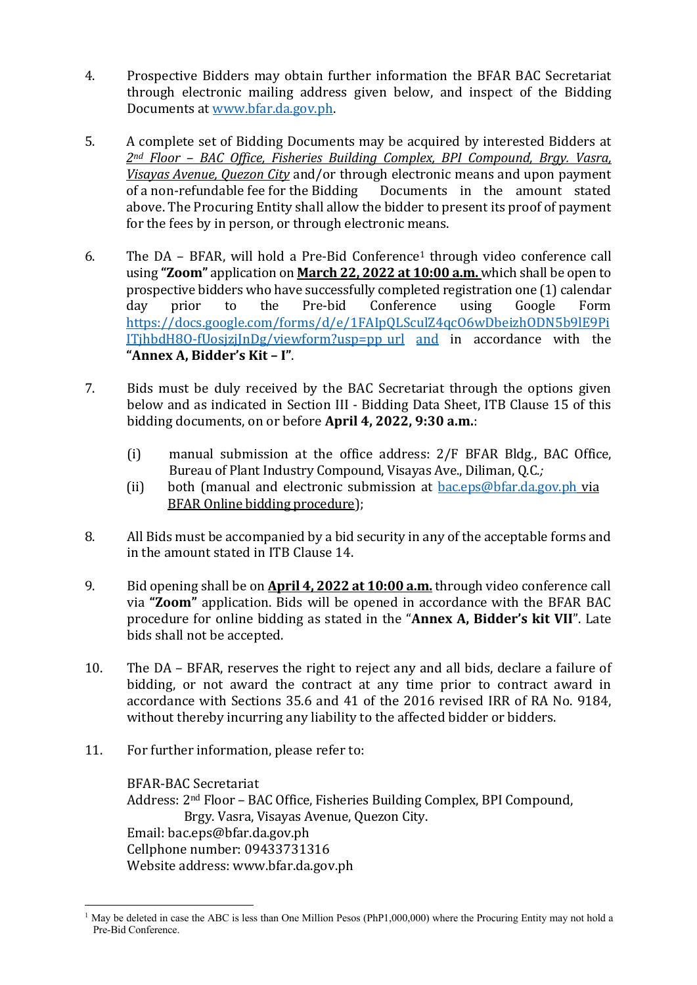- 4. Prospective Bidders may obtain further information the BFAR BAC Secretariat through electronic mailing address given below, and inspect of the Bidding Documents at www.bfar.da.gov.ph.
- 5. A complete set of Bidding Documents may be acquired by interested Bidders at 2<sup>nd</sup> Floor – BAC Office, Fisheries Building Complex, BPI Compound, Brgy. Vasra, *Visayas Avenue, Quezon City* and/or through electronic means and upon payment of a non-refundable fee for the Bidding Documents in the amount stated above. The Procuring Entity shall allow the bidder to present its proof of payment for the fees by in person, or through electronic means.
- 6. The  $DA$  BFAR, will hold a Pre-Bid Conference<sup>1</sup> through video conference call using "**Zoom**" application on **March 22, 2022 at 10:00 a.m.** which shall be open to prospective bidders who have successfully completed registration one (1) calendar day prior to the Pre-bid Conference using Google Form https://docs.google.com/forms/d/e/1FAIpQLSculZ4qcO6wDbeizhODN5b9lE9Pi  $IThbdH8O-fUosjziInDg/viewform?usp=ppurl and in accordance with the$ **"Annex A, Bidder's Kit – I"**.
- 7. Bids must be duly received by the BAC Secretariat through the options given below and as indicated in Section III - Bidding Data Sheet, ITB Clause 15 of this bidding documents, on or before **April 4, 2022, 9:30 a.m.**:
	- (i) manual submission at the office address:  $2/F$  BFAR Bldg., BAC Office, Bureau of Plant Industry Compound, Visayas Ave., Diliman, Q.C.;
	- (ii) both (manual and electronic submission at  $bac.eps@bfar.da.gov.ph$  via BFAR Online bidding procedure);
- 8. All Bids must be accompanied by a bid security in any of the acceptable forms and in the amount stated in ITB Clause 14.
- 9. Bid opening shall be on **April 4, 2022 at 10:00 a.m.** through video conference call via "**Zoom**" application. Bids will be opened in accordance with the BFAR BAC procedure for online bidding as stated in the "Annex A, Bidder's kit VII". Late bids shall not be accepted.
- 10. The DA BFAR, reserves the right to reject any and all bids, declare a failure of bidding, or not award the contract at any time prior to contract award in accordance with Sections 35.6 and 41 of the 2016 revised IRR of RA No. 9184, without thereby incurring any liability to the affected bidder or bidders.
- 11. For further information, please refer to:

BFAR-BAC Secretariat Address:  $2<sup>nd</sup> Floor – BAC Office, Fisheries Building Complex, BPI Compound,$ Brgy. Vasra, Visayas Avenue, Quezon City. Email: bac.eps@bfar.da.gov.ph Cellphone number: 09433731316 Website address: www.bfar.da.gov.ph

<sup>&</sup>lt;sup>1</sup> May be deleted in case the ABC is less than One Million Pesos (PhP1,000,000) where the Procuring Entity may not hold a Pre-Bid Conference.